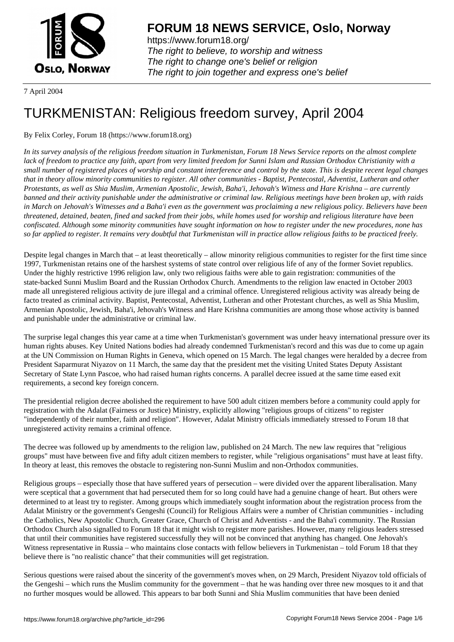

https://www.forum18.org/ The right to believe, to worship and witness The right to change one's belief or religion [The right to join together a](https://www.forum18.org/)nd express one's belief

7 April 2004

## [TURKMENISTA](https://www.forum18.org)N: Religious freedom survey, April 2004

By Felix Corley, Forum 18 (https://www.forum18.org)

*In its survey analysis of the religious freedom situation in Turkmenistan, Forum 18 News Service reports on the almost complete lack of freedom to practice any faith, apart from very limited freedom for Sunni Islam and Russian Orthodox Christianity with a small number of registered places of worship and constant interference and control by the state. This is despite recent legal changes that in theory allow minority communities to register. All other communities - Baptist, Pentecostal, Adventist, Lutheran and other Protestants, as well as Shia Muslim, Armenian Apostolic, Jewish, Baha'i, Jehovah's Witness and Hare Krishna – are currently banned and their activity punishable under the administrative or criminal law. Religious meetings have been broken up, with raids in March on Jehovah's Witnesses and a Baha'i even as the government was proclaiming a new religious policy. Believers have been threatened, detained, beaten, fined and sacked from their jobs, while homes used for worship and religious literature have been confiscated. Although some minority communities have sought information on how to register under the new procedures, none has so far applied to register. It remains very doubtful that Turkmenistan will in practice allow religious faiths to be practiced freely.*

Despite legal changes in March that – at least theoretically – allow minority religious communities to register for the first time since 1997, Turkmenistan retains one of the harshest systems of state control over religious life of any of the former Soviet republics. Under the highly restrictive 1996 religion law, only two religious faiths were able to gain registration: communities of the state-backed Sunni Muslim Board and the Russian Orthodox Church. Amendments to the religion law enacted in October 2003 made all unregistered religious activity de jure illegal and a criminal offence. Unregistered religious activity was already being de facto treated as criminal activity. Baptist, Pentecostal, Adventist, Lutheran and other Protestant churches, as well as Shia Muslim, Armenian Apostolic, Jewish, Baha'i, Jehovah's Witness and Hare Krishna communities are among those whose activity is banned and punishable under the administrative or criminal law.

The surprise legal changes this year came at a time when Turkmenistan's government was under heavy international pressure over its human rights abuses. Key United Nations bodies had already condemned Turkmenistan's record and this was due to come up again at the UN Commission on Human Rights in Geneva, which opened on 15 March. The legal changes were heralded by a decree from President Saparmurat Niyazov on 11 March, the same day that the president met the visiting United States Deputy Assistant Secretary of State Lynn Pascoe, who had raised human rights concerns. A parallel decree issued at the same time eased exit requirements, a second key foreign concern.

The presidential religion decree abolished the requirement to have 500 adult citizen members before a community could apply for registration with the Adalat (Fairness or Justice) Ministry, explicitly allowing "religious groups of citizens" to register "independently of their number, faith and religion". However, Adalat Ministry officials immediately stressed to Forum 18 that unregistered activity remains a criminal offence.

The decree was followed up by amendments to the religion law, published on 24 March. The new law requires that "religious groups" must have between five and fifty adult citizen members to register, while "religious organisations" must have at least fifty. In theory at least, this removes the obstacle to registering non-Sunni Muslim and non-Orthodox communities.

Religious groups – especially those that have suffered years of persecution – were divided over the apparent liberalisation. Many were sceptical that a government that had persecuted them for so long could have had a genuine change of heart. But others were determined to at least try to register. Among groups which immediately sought information about the registration process from the Adalat Ministry or the government's Gengeshi (Council) for Religious Affairs were a number of Christian communities - including the Catholics, New Apostolic Church, Greater Grace, Church of Christ and Adventists - and the Baha'i community. The Russian Orthodox Church also signalled to Forum 18 that it might wish to register more parishes. However, many religious leaders stressed that until their communities have registered successfully they will not be convinced that anything has changed. One Jehovah's Witness representative in Russia – who maintains close contacts with fellow believers in Turkmenistan – told Forum 18 that they believe there is "no realistic chance" that their communities will get registration.

Serious questions were raised about the sincerity of the government's moves when, on 29 March, President Niyazov told officials of the Gengeshi – which runs the Muslim community for the government – that he was handing over three new mosques to it and that no further mosques would be allowed. This appears to bar both Sunni and Shia Muslim communities that have been denied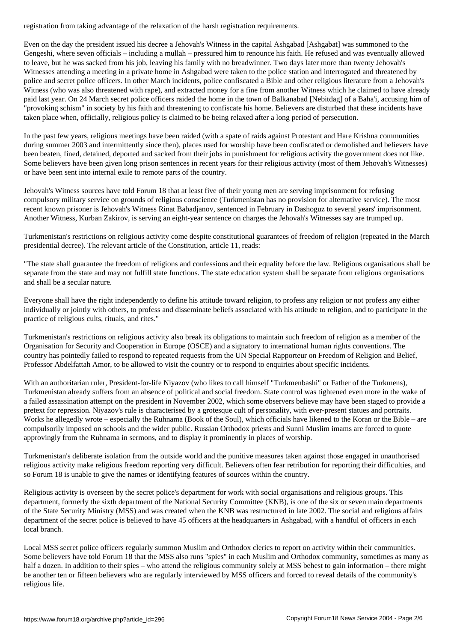Even on the day the president issued his decree a Jehovah's Witness in the capital Ashgabad [Ashgabat] was summoned to the Gengeshi, where seven officials – including a mullah – pressured him to renounce his faith. He refused and was eventually allowed to leave, but he was sacked from his job, leaving his family with no breadwinner. Two days later more than twenty Jehovah's Witnesses attending a meeting in a private home in Ashgabad were taken to the police station and interrogated and threatened by police and secret police officers. In other March incidents, police confiscated a Bible and other religious literature from a Jehovah's Witness (who was also threatened with rape), and extracted money for a fine from another Witness which he claimed to have already paid last year. On 24 March secret police officers raided the home in the town of Balkanabad [Nebitdag] of a Baha'i, accusing him of "provoking schism" in society by his faith and threatening to confiscate his home. Believers are disturbed that these incidents have taken place when, officially, religious policy is claimed to be being relaxed after a long period of persecution.

In the past few years, religious meetings have been raided (with a spate of raids against Protestant and Hare Krishna communities during summer 2003 and intermittently since then), places used for worship have been confiscated or demolished and believers have been beaten, fined, detained, deported and sacked from their jobs in punishment for religious activity the government does not like. Some believers have been given long prison sentences in recent years for their religious activity (most of them Jehovah's Witnesses) or have been sent into internal exile to remote parts of the country.

Jehovah's Witness sources have told Forum 18 that at least five of their young men are serving imprisonment for refusing compulsory military service on grounds of religious conscience (Turkmenistan has no provision for alternative service). The most recent known prisoner is Jehovah's Witness Rinat Babadjanov, sentenced in February in Dashoguz to several years' imprisonment. Another Witness, Kurban Zakirov, is serving an eight-year sentence on charges the Jehovah's Witnesses say are trumped up.

Turkmenistan's restrictions on religious activity come despite constitutional guarantees of freedom of religion (repeated in the March presidential decree). The relevant article of the Constitution, article 11, reads:

"The state shall guarantee the freedom of religions and confessions and their equality before the law. Religious organisations shall be separate from the state and may not fulfill state functions. The state education system shall be separate from religious organisations and shall be a secular nature.

Everyone shall have the right independently to define his attitude toward religion, to profess any religion or not profess any either individually or jointly with others, to profess and disseminate beliefs associated with his attitude to religion, and to participate in the practice of religious cults, rituals, and rites."

Turkmenistan's restrictions on religious activity also break its obligations to maintain such freedom of religion as a member of the Organisation for Security and Cooperation in Europe (OSCE) and a signatory to international human rights conventions. The country has pointedly failed to respond to repeated requests from the UN Special Rapporteur on Freedom of Religion and Belief, Professor Abdelfattah Amor, to be allowed to visit the country or to respond to enquiries about specific incidents.

With an authoritarian ruler, President-for-life Niyazov (who likes to call himself "Turkmenbashi" or Father of the Turkmens), Turkmenistan already suffers from an absence of political and social freedom. State control was tightened even more in the wake of a failed assassination attempt on the president in November 2002, which some observers believe may have been staged to provide a pretext for repression. Niyazov's rule is characterised by a grotesque cult of personality, with ever-present statues and portraits. Works he allegedly wrote – especially the Ruhnama (Book of the Soul), which officials have likened to the Koran or the Bible – are compulsorily imposed on schools and the wider public. Russian Orthodox priests and Sunni Muslim imams are forced to quote approvingly from the Ruhnama in sermons, and to display it prominently in places of worship.

Turkmenistan's deliberate isolation from the outside world and the punitive measures taken against those engaged in unauthorised religious activity make religious freedom reporting very difficult. Believers often fear retribution for reporting their difficulties, and so Forum 18 is unable to give the names or identifying features of sources within the country.

Religious activity is overseen by the secret police's department for work with social organisations and religious groups. This department, formerly the sixth department of the National Security Committee (KNB), is one of the six or seven main departments of the State Security Ministry (MSS) and was created when the KNB was restructured in late 2002. The social and religious affairs department of the secret police is believed to have 45 officers at the headquarters in Ashgabad, with a handful of officers in each local branch.

Local MSS secret police officers regularly summon Muslim and Orthodox clerics to report on activity within their communities. Some believers have told Forum 18 that the MSS also runs "spies" in each Muslim and Orthodox community, sometimes as many as half a dozen. In addition to their spies – who attend the religious community solely at MSS behest to gain information – there might be another ten or fifteen believers who are regularly interviewed by MSS officers and forced to reveal details of the community's religious life.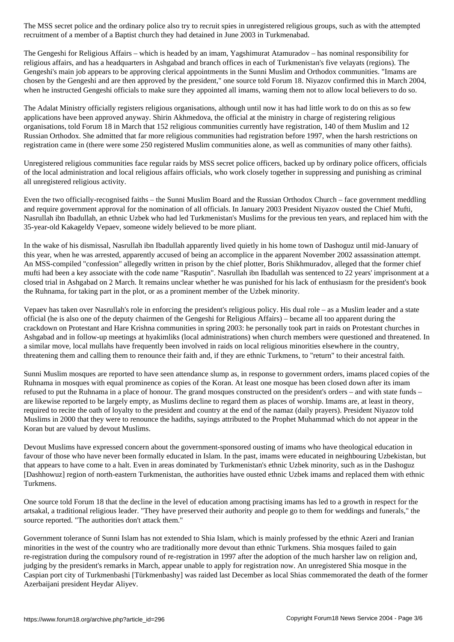The Gengeshi for Religious Affairs – which is headed by an imam, Yagshimurat Atamuradov – has nominal responsibility for religious affairs, and has a headquarters in Ashgabad and branch offices in each of Turkmenistan's five velayats (regions). The Gengeshi's main job appears to be approving clerical appointments in the Sunni Muslim and Orthodox communities. "Imams are chosen by the Gengeshi and are then approved by the president," one source told Forum 18. Niyazov confirmed this in March 2004, when he instructed Gengeshi officials to make sure they appointed all imams, warning them not to allow local believers to do so.

recruitment of a member of a Baptist church they had detained in June 2003 in Turkmenabad.

The Adalat Ministry officially registers religious organisations, although until now it has had little work to do on this as so few applications have been approved anyway. Shirin Akhmedova, the official at the ministry in charge of registering religious organisations, told Forum 18 in March that 152 religious communities currently have registration, 140 of them Muslim and 12 Russian Orthodox. She admitted that far more religious communities had registration before 1997, when the harsh restrictions on registration came in (there were some 250 registered Muslim communities alone, as well as communities of many other faiths).

Unregistered religious communities face regular raids by MSS secret police officers, backed up by ordinary police officers, officials of the local administration and local religious affairs officials, who work closely together in suppressing and punishing as criminal all unregistered religious activity.

Even the two officially-recognised faiths – the Sunni Muslim Board and the Russian Orthodox Church – face government meddling and require government approval for the nomination of all officials. In January 2003 President Niyazov ousted the Chief Mufti, Nasrullah ibn Ibadullah, an ethnic Uzbek who had led Turkmenistan's Muslims for the previous ten years, and replaced him with the 35-year-old Kakageldy Vepaev, someone widely believed to be more pliant.

In the wake of his dismissal, Nasrullah ibn Ibadullah apparently lived quietly in his home town of Dashoguz until mid-January of this year, when he was arrested, apparently accused of being an accomplice in the apparent November 2002 assassination attempt. An MSS-compiled "confession" allegedly written in prison by the chief plotter, Boris Shikhmuradov, alleged that the former chief mufti had been a key associate with the code name "Rasputin". Nasrullah ibn Ibadullah was sentenced to 22 years' imprisonment at a closed trial in Ashgabad on 2 March. It remains unclear whether he was punished for his lack of enthusiasm for the president's book the Ruhnama, for taking part in the plot, or as a prominent member of the Uzbek minority.

Vepaev has taken over Nasrullah's role in enforcing the president's religious policy. His dual role – as a Muslim leader and a state official (he is also one of the deputy chairmen of the Gengeshi for Religious Affairs) – became all too apparent during the crackdown on Protestant and Hare Krishna communities in spring 2003: he personally took part in raids on Protestant churches in Ashgabad and in follow-up meetings at hyakimliks (local administrations) when church members were questioned and threatened. In a similar move, local mullahs have frequently been involved in raids on local religious minorities elsewhere in the country, threatening them and calling them to renounce their faith and, if they are ethnic Turkmens, to "return" to their ancestral faith.

Sunni Muslim mosques are reported to have seen attendance slump as, in response to government orders, imams placed copies of the Ruhnama in mosques with equal prominence as copies of the Koran. At least one mosque has been closed down after its imam refused to put the Ruhnama in a place of honour. The grand mosques constructed on the president's orders – and with state funds – are likewise reported to be largely empty, as Muslims decline to regard them as places of worship. Imams are, at least in theory, required to recite the oath of loyalty to the president and country at the end of the namaz (daily prayers). President Niyazov told Muslims in 2000 that they were to renounce the hadiths, sayings attributed to the Prophet Muhammad which do not appear in the Koran but are valued by devout Muslims.

Devout Muslims have expressed concern about the government-sponsored ousting of imams who have theological education in favour of those who have never been formally educated in Islam. In the past, imams were educated in neighbouring Uzbekistan, but that appears to have come to a halt. Even in areas dominated by Turkmenistan's ethnic Uzbek minority, such as in the Dashoguz [Dashhowuz] region of north-eastern Turkmenistan, the authorities have ousted ethnic Uzbek imams and replaced them with ethnic Turkmens.

One source told Forum 18 that the decline in the level of education among practising imams has led to a growth in respect for the artsakal, a traditional religious leader. "They have preserved their authority and people go to them for weddings and funerals," the source reported. "The authorities don't attack them."

Government tolerance of Sunni Islam has not extended to Shia Islam, which is mainly professed by the ethnic Azeri and Iranian minorities in the west of the country who are traditionally more devout than ethnic Turkmens. Shia mosques failed to gain re-registration during the compulsory round of re-registration in 1997 after the adoption of the much harsher law on religion and, judging by the president's remarks in March, appear unable to apply for registration now. An unregistered Shia mosque in the Caspian port city of Turkmenbashi [Türkmenbashy] was raided last December as local Shias commemorated the death of the former Azerbaijani president Heydar Aliyev.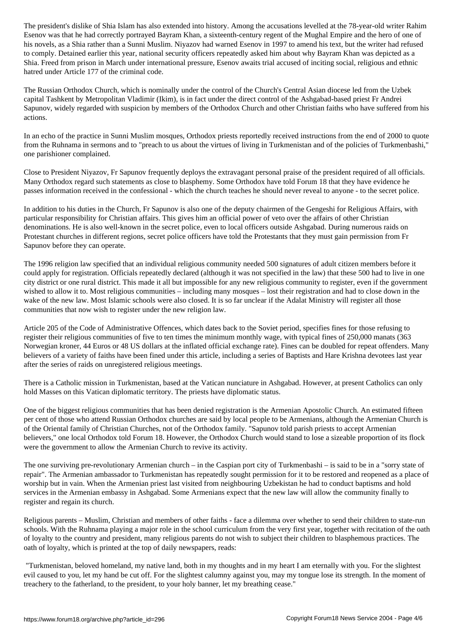Esenov was that he had correctly portrayed Bayram Khan, a sixteenth-century regent of the Mughal Empire and the hero of one of his novels, as a Shia rather than a Sunni Muslim. Niyazov had warned Esenov in 1997 to amend his text, but the writer had refused to comply. Detained earlier this year, national security officers repeatedly asked him about why Bayram Khan was depicted as a Shia. Freed from prison in March under international pressure, Esenov awaits trial accused of inciting social, religious and ethnic hatred under Article 177 of the criminal code.

The Russian Orthodox Church, which is nominally under the control of the Church's Central Asian diocese led from the Uzbek capital Tashkent by Metropolitan Vladimir (Ikim), is in fact under the direct control of the Ashgabad-based priest Fr Andrei Sapunov, widely regarded with suspicion by members of the Orthodox Church and other Christian faiths who have suffered from his actions.

In an echo of the practice in Sunni Muslim mosques, Orthodox priests reportedly received instructions from the end of 2000 to quote from the Ruhnama in sermons and to "preach to us about the virtues of living in Turkmenistan and of the policies of Turkmenbashi," one parishioner complained.

Close to President Niyazov, Fr Sapunov frequently deploys the extravagant personal praise of the president required of all officials. Many Orthodox regard such statements as close to blasphemy. Some Orthodox have told Forum 18 that they have evidence he passes information received in the confessional - which the church teaches he should never reveal to anyone - to the secret police.

In addition to his duties in the Church, Fr Sapunov is also one of the deputy chairmen of the Gengeshi for Religious Affairs, with particular responsibility for Christian affairs. This gives him an official power of veto over the affairs of other Christian denominations. He is also well-known in the secret police, even to local officers outside Ashgabad. During numerous raids on Protestant churches in different regions, secret police officers have told the Protestants that they must gain permission from Fr Sapunov before they can operate.

The 1996 religion law specified that an individual religious community needed 500 signatures of adult citizen members before it could apply for registration. Officials repeatedly declared (although it was not specified in the law) that these 500 had to live in one city district or one rural district. This made it all but impossible for any new religious community to register, even if the government wished to allow it to. Most religious communities – including many mosques – lost their registration and had to close down in the wake of the new law. Most Islamic schools were also closed. It is so far unclear if the Adalat Ministry will register all those communities that now wish to register under the new religion law.

Article 205 of the Code of Administrative Offences, which dates back to the Soviet period, specifies fines for those refusing to register their religious communities of five to ten times the minimum monthly wage, with typical fines of 250,000 manats (363 Norwegian kroner, 44 Euros or 48 US dollars at the inflated official exchange rate). Fines can be doubled for repeat offenders. Many believers of a variety of faiths have been fined under this article, including a series of Baptists and Hare Krishna devotees last year after the series of raids on unregistered religious meetings.

There is a Catholic mission in Turkmenistan, based at the Vatican nunciature in Ashgabad. However, at present Catholics can only hold Masses on this Vatican diplomatic territory. The priests have diplomatic status.

One of the biggest religious communities that has been denied registration is the Armenian Apostolic Church. An estimated fifteen per cent of those who attend Russian Orthodox churches are said by local people to be Armenians, although the Armenian Church is of the Oriental family of Christian Churches, not of the Orthodox family. "Sapunov told parish priests to accept Armenian believers," one local Orthodox told Forum 18. However, the Orthodox Church would stand to lose a sizeable proportion of its flock were the government to allow the Armenian Church to revive its activity.

The one surviving pre-revolutionary Armenian church – in the Caspian port city of Turkmenbashi – is said to be in a "sorry state of repair". The Armenian ambassador to Turkmenistan has repeatedly sought permission for it to be restored and reopened as a place of worship but in vain. When the Armenian priest last visited from neighbouring Uzbekistan he had to conduct baptisms and hold services in the Armenian embassy in Ashgabad. Some Armenians expect that the new law will allow the community finally to register and regain its church.

Religious parents – Muslim, Christian and members of other faiths - face a dilemma over whether to send their children to state-run schools. With the Ruhnama playing a major role in the school curriculum from the very first year, together with recitation of the oath of loyalty to the country and president, many religious parents do not wish to subject their children to blasphemous practices. The oath of loyalty, which is printed at the top of daily newspapers, reads:

 "Turkmenistan, beloved homeland, my native land, both in my thoughts and in my heart I am eternally with you. For the slightest evil caused to you, let my hand be cut off. For the slightest calumny against you, may my tongue lose its strength. In the moment of treachery to the fatherland, to the president, to your holy banner, let my breathing cease."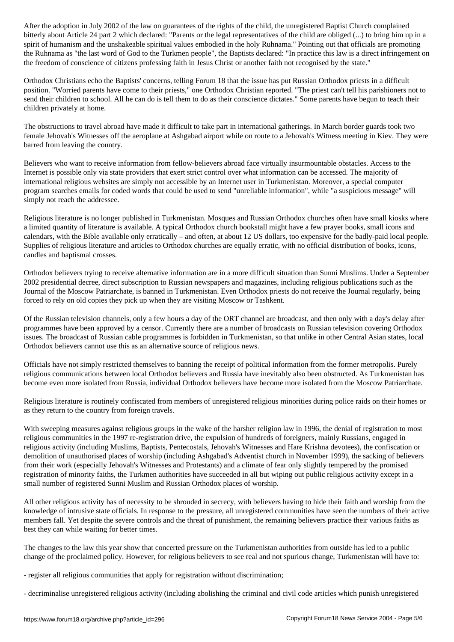bitterly about Article 24 part 2 which declared: "Parents or the legal representatives of the child are obliged (...) to bring him up in a spirit of humanism and the unshakeable spiritual values embodied in the holy Ruhnama." Pointing out that officials are promoting the Ruhnama as "the last word of God to the Turkmen people", the Baptists declared: "In practice this law is a direct infringement on the freedom of conscience of citizens professing faith in Jesus Christ or another faith not recognised by the state."

Orthodox Christians echo the Baptists' concerns, telling Forum 18 that the issue has put Russian Orthodox priests in a difficult position. "Worried parents have come to their priests," one Orthodox Christian reported. "The priest can't tell his parishioners not to send their children to school. All he can do is tell them to do as their conscience dictates." Some parents have begun to teach their children privately at home.

The obstructions to travel abroad have made it difficult to take part in international gatherings. In March border guards took two female Jehovah's Witnesses off the aeroplane at Ashgabad airport while on route to a Jehovah's Witness meeting in Kiev. They were barred from leaving the country.

Believers who want to receive information from fellow-believers abroad face virtually insurmountable obstacles. Access to the Internet is possible only via state providers that exert strict control over what information can be accessed. The majority of international religious websites are simply not accessible by an Internet user in Turkmenistan. Moreover, a special computer program searches emails for coded words that could be used to send "unreliable information", while "a suspicious message" will simply not reach the addressee.

Religious literature is no longer published in Turkmenistan. Mosques and Russian Orthodox churches often have small kiosks where a limited quantity of literature is available. A typical Orthodox church bookstall might have a few prayer books, small icons and calendars, with the Bible available only erratically – and often, at about 12 US dollars, too expensive for the badly-paid local people. Supplies of religious literature and articles to Orthodox churches are equally erratic, with no official distribution of books, icons, candles and baptismal crosses.

Orthodox believers trying to receive alternative information are in a more difficult situation than Sunni Muslims. Under a September 2002 presidential decree, direct subscription to Russian newspapers and magazines, including religious publications such as the Journal of the Moscow Patriarchate, is banned in Turkmenistan. Even Orthodox priests do not receive the Journal regularly, being forced to rely on old copies they pick up when they are visiting Moscow or Tashkent.

Of the Russian television channels, only a few hours a day of the ORT channel are broadcast, and then only with a day's delay after programmes have been approved by a censor. Currently there are a number of broadcasts on Russian television covering Orthodox issues. The broadcast of Russian cable programmes is forbidden in Turkmenistan, so that unlike in other Central Asian states, local Orthodox believers cannot use this as an alternative source of religious news.

Officials have not simply restricted themselves to banning the receipt of political information from the former metropolis. Purely religious communications between local Orthodox believers and Russia have inevitably also been obstructed. As Turkmenistan has become even more isolated from Russia, individual Orthodox believers have become more isolated from the Moscow Patriarchate.

Religious literature is routinely confiscated from members of unregistered religious minorities during police raids on their homes or as they return to the country from foreign travels.

With sweeping measures against religious groups in the wake of the harsher religion law in 1996, the denial of registration to most religious communities in the 1997 re-registration drive, the expulsion of hundreds of foreigners, mainly Russians, engaged in religious activity (including Muslims, Baptists, Pentecostals, Jehovah's Witnesses and Hare Krishna devotees), the confiscation or demolition of unauthorised places of worship (including Ashgabad's Adventist church in November 1999), the sacking of believers from their work (especially Jehovah's Witnesses and Protestants) and a climate of fear only slightly tempered by the promised registration of minority faiths, the Turkmen authorities have succeeded in all but wiping out public religious activity except in a small number of registered Sunni Muslim and Russian Orthodox places of worship.

All other religious activity has of necessity to be shrouded in secrecy, with believers having to hide their faith and worship from the knowledge of intrusive state officials. In response to the pressure, all unregistered communities have seen the numbers of their active members fall. Yet despite the severe controls and the threat of punishment, the remaining believers practice their various faiths as best they can while waiting for better times.

The changes to the law this year show that concerted pressure on the Turkmenistan authorities from outside has led to a public change of the proclaimed policy. However, for religious believers to see real and not spurious change, Turkmenistan will have to:

- register all religious communities that apply for registration without discrimination;

- decriminalise unregistered religious activity (including abolishing the criminal and civil code articles which punish unregistered